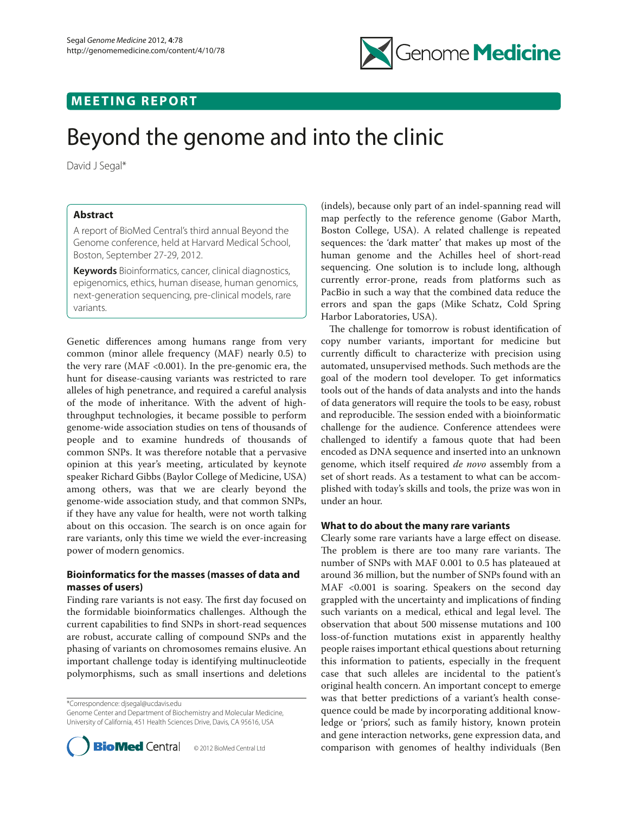

# Beyond the genome and into the clinic

David J Segal\*

## **Abstract**

A report of BioMed Central's third annual Beyond the Genome conference, held at Harvard Medical School, Boston, September 27-29, 2012.

**Keywords** Bioinformatics, cancer, clinical diagnostics, epigenomics, ethics, human disease, human genomics, next-generation sequencing, pre-clinical models, rare variants.

Genetic differences among humans range from very common (minor allele frequency (MAF) nearly 0.5) to the very rare ( $MAF < 0.001$ ). In the pre-genomic era, the hunt for disease-causing variants was restricted to rare alleles of high penetrance, and required a careful analysis of the mode of inheritance. With the advent of highthroughput technologies, it became possible to perform genome-wide association studies on tens of thousands of people and to examine hundreds of thousands of common SNPs. It was therefore notable that a pervasive opinion at this year's meeting, articulated by keynote speaker Richard Gibbs (Baylor College of Medicine, USA) among others, was that we are clearly beyond the genome-wide association study, and that common SNPs, if they have any value for health, were not worth talking about on this occasion. The search is on once again for rare variants, only this time we wield the ever-increasing power of modern genomics.

# **Bioinformatics for the masses (masses of data and masses of users)**

Finding rare variants is not easy. The first day focused on the formidable bioinformatics challenges. Although the current capabilities to find SNPs in short-read sequences are robust, accurate calling of compound SNPs and the phasing of variants on chromosomes remains elusive. An important challenge today is identifying multinucleotide polymorphisms, such as small insertions and deletions

\*Correspondence: djsegal@ucdavis.edu

Genome Center and Department of Biochemistry and Molecular Medicine, University of California, 451 Health Sciences Drive, Davis, CA 95616, USA



(indels), because only part of an indel-spanning read will map perfectly to the reference genome (Gabor Marth, Boston College, USA). A related challenge is repeated sequences: the 'dark matter' that makes up most of the human genome and the Achilles heel of short-read sequencing. One solution is to include long, although currently error-prone, reads from platforms such as PacBio in such a way that the combined data reduce the errors and span the gaps (Mike Schatz, Cold Spring Harbor Laboratories, USA).

Genome Medicine

The challenge for tomorrow is robust identification of copy number variants, important for medicine but currently difficult to characterize with precision using automated, unsupervised methods. Such methods are the goal of the modern tool developer. To get informatics tools out of the hands of data analysts and into the hands of data generators will require the tools to be easy, robust and reproducible. The session ended with a bioinformatic challenge for the audience. Conference attendees were challenged to identify a famous quote that had been encoded as DNA sequence and inserted into an unknown genome, which itself required *de novo* assembly from a set of short reads. As a testament to what can be accomplished with today's skills and tools, the prize was won in under an hour.

### **What to do about the many rare variants**

Clearly some rare variants have a large effect on disease. The problem is there are too many rare variants. The number of SNPs with MAF 0.001 to 0.5 has plateaued at around 36 million, but the number of SNPs found with an MAF <0.001 is soaring. Speakers on the second day grappled with the uncertainty and implications of finding such variants on a medical, ethical and legal level. The observation that about 500 missense mutations and 100 loss-of-function mutations exist in apparently healthy people raises important ethical questions about returning this information to patients, especially in the frequent case that such alleles are incidental to the patient's original health concern. An important concept to emerge was that better predictions of a variant's health consequence could be made by incorporating additional knowledge or 'priors', such as family history, known protein and gene interaction networks, gene expression data, and comparison with genomes of healthy individuals (Ben